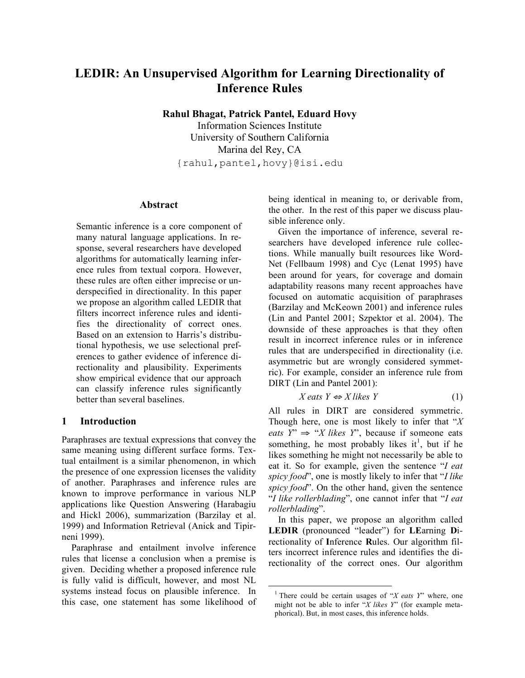# **LEDIR: An Unsupervised Algorithm for Learning Directionality of Inference Rules**

**Rahul Bhagat, Patrick Pantel, Eduard Hovy**

Information Sciences Institute University of Southern California Marina del Rey, CA {rahul,pantel,hovy}@isi.edu

# **Abstract**

Semantic inference is a core component of many natural language applications. In response, several researchers have developed algorithms for automatically learning inference rules from textual corpora. However, these rules are often either imprecise or underspecified in directionality. In this paper we propose an algorithm called LEDIR that filters incorrect inference rules and identifies the directionality of correct ones. Based on an extension to Harris's distributional hypothesis, we use selectional preferences to gather evidence of inference directionality and plausibility. Experiments show empirical evidence that our approach can classify inference rules significantly better than several baselines.

# **1 Introduction**

Paraphrases are textual expressions that convey the same meaning using different surface forms. Textual entailment is a similar phenomenon, in which the presence of one expression licenses the validity of another. Paraphrases and inference rules are known to improve performance in various NLP applications like Question Answering (Harabagiu and Hickl 2006), summarization (Barzilay et al. 1999) and Information Retrieval (Anick and Tipirneni 1999).

Paraphrase and entailment involve inference rules that license a conclusion when a premise is given. Deciding whether a proposed inference rule is fully valid is difficult, however, and most NL systems instead focus on plausible inference. In this case, one statement has some likelihood of being identical in meaning to, or derivable from, the other. In the rest of this paper we discuss plausible inference only.

Given the importance of inference, several researchers have developed inference rule collections. While manually built resources like Word-Net (Fellbaum 1998) and Cyc (Lenat 1995) have been around for years, for coverage and domain adaptability reasons many recent approaches have focused on automatic acquisition of paraphrases (Barzilay and McKeown 2001) and inference rules (Lin and Pantel 2001; Szpektor et al. 2004). The downside of these approaches is that they often result in incorrect inference rules or in inference rules that are underspecified in directionality (i.e. asymmetric but are wrongly considered symmetric). For example, consider an inference rule from DIRT (Lin and Pantel 2001):

$$
X \text{ eats } Y \Leftrightarrow X \text{ likes } Y \tag{1}
$$

All rules in DIRT are considered symmetric. Though here, one is most likely to infer that "*X eats*  $Y'' \Rightarrow "X$  *likes*  $Y''$ , because if someone eats something, he most probably likes it<sup>1</sup>, but if he likes something he might not necessarily be able to eat it. So for example, given the sentence "*I eat spicy food*", one is mostly likely to infer that "*I like spicy food*". On the other hand, given the sentence "*I like rollerblading*", one cannot infer that "*I eat rollerblading*".

In this paper, we propose an algorithm called **LEDIR** (pronounced "leader") for **LE**arning **D**irectionality of **I**nference **R**ules. Our algorithm filters incorrect inference rules and identifies the directionality of the correct ones. Our algorithm

<sup>1</sup> There could be certain usages of "*X eats Y*" where, one might not be able to infer "*X likes Y*" (for example metaphorical). But, in most cases, this inference holds.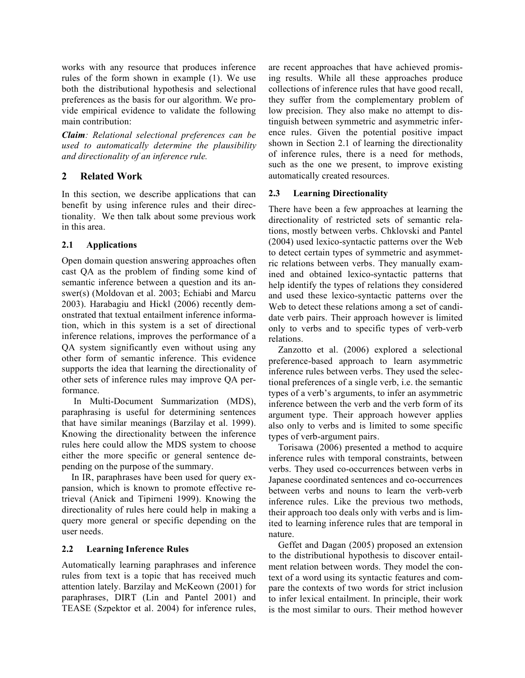works with any resource that produces inference rules of the form shown in example (1). We use both the distributional hypothesis and selectional preferences as the basis for our algorithm. We provide empirical evidence to validate the following main contribution:

*Claim: Relational selectional preferences can be used to automatically determine the plausibility and directionality of an inference rule.*

# **2 Related Work**

In this section, we describe applications that can benefit by using inference rules and their directionality. We then talk about some previous work in this area.

# **2.1 Applications**

Open domain question answering approaches often cast QA as the problem of finding some kind of semantic inference between a question and its answer(s) (Moldovan et al. 2003; Echiabi and Marcu 2003). Harabagiu and Hickl (2006) recently demonstrated that textual entailment inference information, which in this system is a set of directional inference relations, improves the performance of a QA system significantly even without using any other form of semantic inference. This evidence supports the idea that learning the directionality of other sets of inference rules may improve QA performance.

In Multi-Document Summarization (MDS), paraphrasing is useful for determining sentences that have similar meanings (Barzilay et al. 1999). Knowing the directionality between the inference rules here could allow the MDS system to choose either the more specific or general sentence depending on the purpose of the summary.

In IR, paraphrases have been used for query expansion, which is known to promote effective retrieval (Anick and Tipirneni 1999). Knowing the directionality of rules here could help in making a query more general or specific depending on the user needs.

# **2.2 Learning Inference Rules**

Automatically learning paraphrases and inference rules from text is a topic that has received much attention lately. Barzilay and McKeown (2001) for paraphrases, DIRT (Lin and Pantel 2001) and TEASE (Szpektor et al. 2004) for inference rules,

are recent approaches that have achieved promising results. While all these approaches produce collections of inference rules that have good recall, they suffer from the complementary problem of low precision. They also make no attempt to distinguish between symmetric and asymmetric inference rules. Given the potential positive impact shown in Section 2.1 of learning the directionality of inference rules, there is a need for methods, such as the one we present, to improve existing automatically created resources.

# **2.3 Learning Directionality**

There have been a few approaches at learning the directionality of restricted sets of semantic relations, mostly between verbs. Chklovski and Pantel (2004) used lexico-syntactic patterns over the Web to detect certain types of symmetric and asymmetric relations between verbs. They manually examined and obtained lexico-syntactic patterns that help identify the types of relations they considered and used these lexico-syntactic patterns over the Web to detect these relations among a set of candidate verb pairs. Their approach however is limited only to verbs and to specific types of verb-verb relations.

Zanzotto et al. (2006) explored a selectional preference-based approach to learn asymmetric inference rules between verbs. They used the selectional preferences of a single verb, i.e. the semantic types of a verb's arguments, to infer an asymmetric inference between the verb and the verb form of its argument type. Their approach however applies also only to verbs and is limited to some specific types of verb-argument pairs.

Torisawa (2006) presented a method to acquire inference rules with temporal constraints, between verbs. They used co-occurrences between verbs in Japanese coordinated sentences and co-occurrences between verbs and nouns to learn the verb-verb inference rules. Like the previous two methods, their approach too deals only with verbs and is limited to learning inference rules that are temporal in nature.

Geffet and Dagan (2005) proposed an extension to the distributional hypothesis to discover entailment relation between words. They model the context of a word using its syntactic features and compare the contexts of two words for strict inclusion to infer lexical entailment. In principle, their work is the most similar to ours. Their method however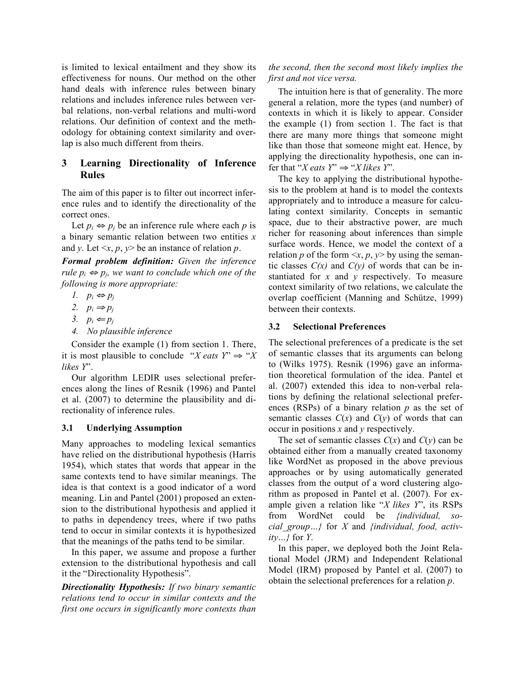is limited to lexical entailment and they show its effectiveness for nouns. Our method on the other hand deals with inference rules between binary relations and includes inference rules between verbal relations, non-verbal relations and multi-word relations. Our definition of context and the methodology for obtaining context similarity and overlap is also much different from theirs.

# **3 Learning Directionality of Inference Rules**

The aim of this paper is to filter out incorrect inference rules and to identify the directionality of the correct ones.

Let  $p_i \Leftrightarrow p_j$  be an inference rule where each *p* is a binary semantic relation between two entities *x* and *y*. Let  $\langle x, p, y \rangle$  be an instance of relation *p*.

*Formal problem definition: Given the inference rule*  $p_i \Leftrightarrow p_j$ , we want to conclude which one of the *following is more appropriate:*

- *1.*  $p_i$  ⇔  $p_j$
- 2.  $p_i \Rightarrow p_j$
- 3.  $p_i \leftarrow p_j$
- *4. No plausible inference*

Consider the example (1) from section 1. There, it is most plausible to conclude "*X eats*  $Y'' \Rightarrow "X$ *likes Y*".

Our algorithm LEDIR uses selectional preferences along the lines of Resnik (1996) and Pantel et al. (2007) to determine the plausibility and directionality of inference rules.

### **3.1 Underlying Assumption**

Many approaches to modeling lexical semantics have relied on the distributional hypothesis (Harris 1954), which states that words that appear in the same contexts tend to have similar meanings. The idea is that context is a good indicator of a word meaning. Lin and Pantel (2001) proposed an extension to the distributional hypothesis and applied it to paths in dependency trees, where if two paths tend to occur in similar contexts it is hypothesized that the meanings of the paths tend to be similar.

In this paper, we assume and propose a further extension to the distributional hypothesis and call it the "Directionality Hypothesis".

*Directionality Hypothesis: If two binary semantic relations tend to occur in similar contexts and the first one occurs in significantly more contexts than*

# *the second, then the second most likely implies the first and not vice versa.*

The intuition here is that of generality. The more general a relation, more the types (and number) of contexts in which it is likely to appear. Consider the example (1) from section 1. The fact is that there are many more things that someone might like than those that someone might eat. Hence, by applying the directionality hypothesis, one can infer that "*X* eats  $Y$ "  $\Rightarrow$  "*X* likes  $Y$ ".

The key to applying the distributional hypothesis to the problem at hand is to model the contexts appropriately and to introduce a measure for calculating context similarity. Concepts in semantic space, due to their abstractive power, are much richer for reasoning about inferences than simple surface words. Hence, we model the context of a relation *p* of the form  $\langle x, p, y \rangle$  by using the semantic classes  $C(x)$  and  $C(y)$  of words that can be instantiated for *x* and *y* respectively. To measure context similarity of two relations, we calculate the overlap coefficient (Manning and Schütze, 1999) between their contexts.

# **3.2 Selectional Preferences**

The selectional preferences of a predicate is the set of semantic classes that its arguments can belong to (Wilks 1975). Resnik (1996) gave an information theoretical formulation of the idea. Pantel et al. (2007) extended this idea to non-verbal relations by defining the relational selectional preferences (RSPs) of a binary relation *p* as the set of semantic classes  $C(x)$  and  $C(y)$  of words that can occur in positions *x* and *y* respectively.

The set of semantic classes  $C(x)$  and  $C(y)$  can be obtained either from a manually created taxonomy like WordNet as proposed in the above previous approaches or by using automatically generated classes from the output of a word clustering algorithm as proposed in Pantel et al. (2007). For example given a relation like "*X likes Y*", its RSPs from WordNet could be *{individual, social\_group…}* for *X* and *{individual, food, activity…}* for *Y*.

In this paper, we deployed both the Joint Relational Model (JRM) and Independent Relational Model (IRM) proposed by Pantel et al. (2007) to obtain the selectional preferences for a relation *p*.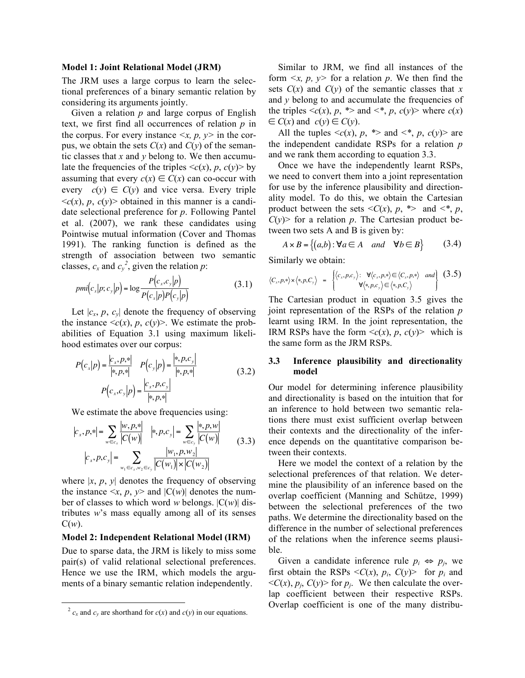#### **Model 1: Joint Relational Model (JRM)**

The JRM uses a large corpus to learn the selectional preferences of a binary semantic relation by considering its arguments jointly.

Given a relation *p* and large corpus of English text, we first find all occurrences of relation *p* in the corpus. For every instance  $\langle x, p, y \rangle$  in the corpus, we obtain the sets  $C(x)$  and  $C(y)$  of the semantic classes that *x* and *y* belong to. We then accumulate the frequencies of the triples  $\langle c(x), p, c(y) \rangle$  by assuming that every  $c(x) \in C(x)$  can co-occur with every  $c(y) \in C(y)$  and vice versa. Every triple  $\langle c(x), p, c(y) \rangle$  obtained in this manner is a candidate selectional preference for *p*. Following Pantel et al. (2007), we rank these candidates using Pointwise mutual information (Cover and Thomas 1991). The ranking function is defined as the strength of association between two semantic classes,  $c_x$  and  $c_y^2$ , given the relation p:

$$
pmi(c_x|p;c_y|p) = \log \frac{P(c_x,c_y|p)}{P(c_x|p)P(c_y|p)}
$$
(3.1)

Let  $|c_x, p, c_y|$  denote the frequency of observing the instance  $\langle c(x), p, c(y) \rangle$ . We estimate the probabilities of Equation 3.1 using maximum likelihood estimates over our corpus:

$$
P(c_x|p) = \frac{|c_x, p, *|}{|*, p, *|} \quad P(c_y|p) = \frac{|*, p, c_y|}{|*, p, *|} \quad (3.2)
$$
\n
$$
P(c_x, c_y|p) = \frac{|c_x, p, c_y|}{|*, p, *|}
$$

We estimate the above frequencies using:

$$
|c_x, p, *| = \sum_{w \in c_x} \frac{|w, p, *|}{|C(w)|} \quad |*, p, c_y| = \sum_{w \in c_y} \frac{|*, p, w|}{|C(w)|} \quad (3.3)
$$

$$
|c_x, p, c_y| = \sum_{w_1 \in c_x, w_2 \in c_y} \frac{|w_1, p, w_2|}{|C(w_1)| \times |C(w_2)|}
$$

where  $|x, p, y|$  denotes the frequency of observing the instance  $\langle x, p, y \rangle$  and  $|C(w)|$  denotes the number of classes to which word *w* belongs. |C(*w*)| distributes *w*'s mass equally among all of its senses  $C(w)$ .

#### **Model 2: Independent Relational Model (IRM)**

Due to sparse data, the JRM is likely to miss some pair(s) of valid relational selectional preferences. Hence we use the IRM, which models the arguments of a binary semantic relation independently.

Similar to JRM, we find all instances of the form  $\langle x, p, y \rangle$  for a relation p. We then find the sets  $C(x)$  and  $C(y)$  of the semantic classes that x and  $\nu$  belong to and accumulate the frequencies of the triples  $\langle c(x), p, * \rangle$  and  $\langle e^*, p, c(y) \rangle$  where  $c(x)$  $\in$  *C*(*x*) and *c*(*y*)  $\in$  *C*(*y*).

All the tuples  $\langle c(x), p, * \rangle$  and  $\langle e^*, p, c(y) \rangle$  are the independent candidate RSPs for a relation *p* and we rank them according to equation 3.3.

Once we have the independently learnt RSPs, we need to convert them into a joint representation for use by the inference plausibility and directionality model. To do this, we obtain the Cartesian product between the sets  $\langle C(x), p, * \rangle$  and  $\langle *, p, * \rangle$  $C(y)$  for a relation p. The Cartesian product between two sets A and B is given by:

$$
A \times B = \{(a,b) : \forall a \in A \quad and \quad \forall b \in B\}
$$
 (3.4)

Similarly we obtain:

$$
\langle C_x, p, \ast \rangle \times \langle \ast, p, C_{\mathbf{y}} \rangle = \begin{cases} \langle c_x, p, c_y \rangle : \forall \langle c_x, p, \ast \rangle \in \langle C_x, p, \ast \rangle \quad and \\ \forall \langle \ast, p, c_y \rangle \in \langle \ast, p, C_{\mathbf{y}} \rangle \end{cases} (3.5)
$$

The Cartesian product in equation 3.5 gives the joint representation of the RSPs of the relation *p* learnt using IRM. In the joint representation, the IRM RSPs have the form  $\langle c(x), p, c(y) \rangle$  which is the same form as the JRM RSPs.

### **3.3 Inference plausibility and directionality model**

Our model for determining inference plausibility and directionality is based on the intuition that for an inference to hold between two semantic relations there must exist sufficient overlap between their contexts and the directionality of the inference depends on the quantitative comparison between their contexts.

Here we model the context of a relation by the selectional preferences of that relation. We determine the plausibility of an inference based on the overlap coefficient (Manning and Schütze, 1999) between the selectional preferences of the two paths. We determine the directionality based on the difference in the number of selectional preferences of the relations when the inference seems plausible.

Given a candidate inference rule  $p_i \Leftrightarrow p_j$ , we first obtain the RSPs  $\langle C(x), p_i, C(y) \rangle$  for  $p_i$  and  $\langle C(x), p_i, C(y) \rangle$  for  $p_i$ . We then calculate the overlap coefficient between their respective RSPs. Overlap coefficient is one of the many distribu-

 $^{2}$   $c_{x}$  and  $c_{y}$  are shorthand for  $c(x)$  and  $c(y)$  in our equations.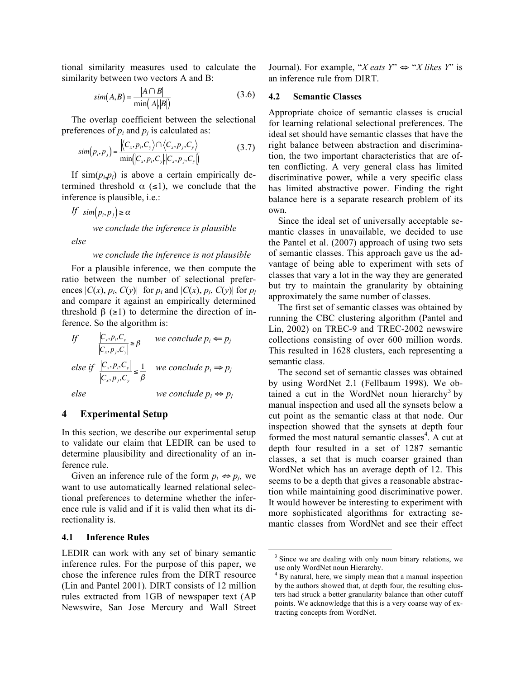tional similarity measures used to calculate the similarity between two vectors A and B:

$$
sim(A,B) = \frac{|A \cap B|}{\min(|A|,|B|)}
$$
(3.6)

The overlap coefficient between the selectional preferences of  $p_i$  and  $p_j$  is calculated as:

$$
sim(p_i, p_j) = \frac{\left| \langle C_x, p_i, C_y \rangle \cap \langle C_x, p_j, C_y \rangle \right|}{\min \left| \langle C_x, p_i, C_y \rangle \big| \langle C_x, p_j, C_y \rangle \right|} \tag{3.7}
$$

If  $\sin(p_i, p_j)$  is above a certain empirically determined threshold  $\alpha$  (≤1), we conclude that the inference is plausible, i.e.:

*If*  $\sin(p_i, p_j) \ge \alpha$ 

*we conclude the inference is plausible*

*else*

#### *we conclude the inference is not plausible*

For a plausible inference, we then compute the ratio between the number of selectional preferences  $|C(x), p_i, C(y)|$  for  $p_i$  and  $|C(x), p_j, C(y)|$  for  $p_j$ and compare it against an empirically determined threshold  $\beta$  ( $\geq$ 1) to determine the direction of inference. So the algorithm is:

If 
$$
\left|\frac{\left|C_x, p_i, C_y\right|}{\left|C_x, p_j, C_y\right|} \ge \beta\right|
$$
 we conclude  $p_i \Leftarrow p_j$   
else if  $\left|\frac{\left|C_x, p_i, C_y\right|}{\left|C_x, p_j, C_y\right|} \le \frac{1}{\beta}$  we conclude  $p_i \Leftrightarrow p_j$   
else we conclude  $p_i \Leftrightarrow p_j$ 

#### $\overline{\mathbf{4}}$ **4 Experimental Setup**

In this section, we describe our experimental setup to validate our claim that LEDIR can be used to determine plausibility and directionality of an inference rule.

Given an inference rule of the form  $p_i \Leftrightarrow p_j$ , we want to use automatically learned relational selectional preferences to determine whether the inference rule is valid and if it is valid then what its directionality is.

### **4.1 Inference Rules**

LEDIR can work with any set of binary semantic inference rules. For the purpose of this paper, we chose the inference rules from the DIRT resource (Lin and Pantel 2001). DIRT consists of 12 million rules extracted from 1GB of newspaper text (AP Newswire, San Jose Mercury and Wall Street Journal). For example, "*X* eats  $Y$ "  $\Leftrightarrow$  "*X* likes  $Y$ " is an inference rule from DIRT.

#### **4.2 Semantic Classes**

Appropriate choice of semantic classes is crucial for learning relational selectional preferences. The ideal set should have semantic classes that have the right balance between abstraction and discrimination, the two important characteristics that are often conflicting. A very general class has limited discriminative power, while a very specific class has limited abstractive power. Finding the right balance here is a separate research problem of its own.

Since the ideal set of universally acceptable semantic classes in unavailable, we decided to use the Pantel et al. (2007) approach of using two sets of semantic classes. This approach gave us the advantage of being able to experiment with sets of classes that vary a lot in the way they are generated but try to maintain the granularity by obtaining approximately the same number of classes.

The first set of semantic classes was obtained by running the CBC clustering algorithm (Pantel and Lin, 2002) on TREC-9 and TREC-2002 newswire collections consisting of over 600 million words. This resulted in 1628 clusters, each representing a semantic class.

The second set of semantic classes was obtained by using WordNet 2.1 (Fellbaum 1998). We obtained a cut in the WordNet noun hierarchy<sup>3</sup> by manual inspection and used all the synsets below a cut point as the semantic class at that node. Our inspection showed that the synsets at depth four formed the most natural semantic classes<sup>4</sup>. A cut at depth four resulted in a set of 1287 semantic classes, a set that is much coarser grained than WordNet which has an average depth of 12. This seems to be a depth that gives a reasonable abstraction while maintaining good discriminative power. It would however be interesting to experiment with more sophisticated algorithms for extracting semantic classes from WordNet and see their effect

<sup>&</sup>lt;sup>3</sup> Since we are dealing with only noun binary relations, we use only WordNet noun Hierarchy.<br> $4$  By natural, here, we simply mean that a manual inspection

by the authors showed that, at depth four, the resulting clusters had struck a better granularity balance than other cutoff points. We acknowledge that this is a very coarse way of extracting concepts from WordNet.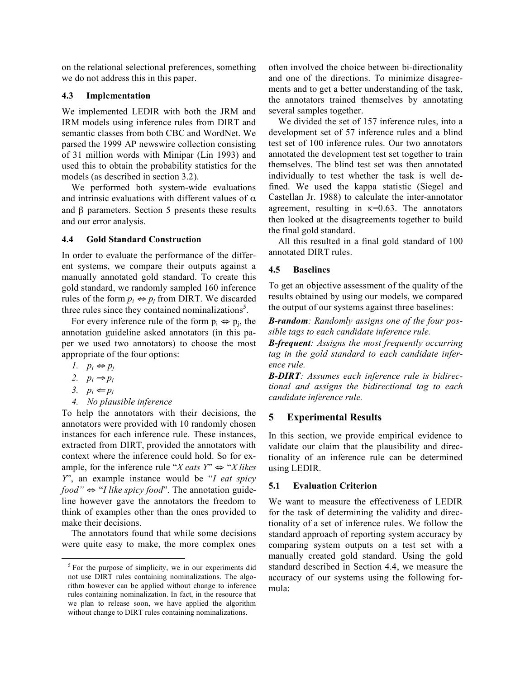on the relational selectional preferences, something we do not address this in this paper.

### **4.3 Implementation**

We implemented LEDIR with both the JRM and IRM models using inference rules from DIRT and semantic classes from both CBC and WordNet. We parsed the 1999 AP newswire collection consisting of 31 million words with Minipar (Lin 1993) and used this to obtain the probability statistics for the models (as described in section 3.2).

We performed both system-wide evaluations and intrinsic evaluations with different values of  $\alpha$ and β parameters. Section 5 presents these results and our error analysis.

# **4.4 Gold Standard Construction**

In order to evaluate the performance of the different systems, we compare their outputs against a manually annotated gold standard. To create this gold standard, we randomly sampled 160 inference rules of the form  $p_i \Leftrightarrow p_j$  from DIRT. We discarded three rules since they contained nominalizations<sup>5</sup>.

For every inference rule of the form  $p_i \Leftrightarrow p_i$ , the annotation guideline asked annotators (in this paper we used two annotators) to choose the most appropriate of the four options:

- *1.*  $p_i$  ⇔  $p_j$
- 2.  $p_i \Rightarrow p_j$
- 3.  $p_i \Leftarrow p_j$
- *4. No plausible inference*

To help the annotators with their decisions, the annotators were provided with 10 randomly chosen instances for each inference rule. These instances, extracted from DIRT, provided the annotators with context where the inference could hold. So for example, for the inference rule "*X* eats  $Y$ "  $\Leftrightarrow$  "*X* likes *Y*", an example instance would be "*I eat spicy food"* ⇔ "*I like spicy food*". The annotation guideline however gave the annotators the freedom to think of examples other than the ones provided to make their decisions.

The annotators found that while some decisions were quite easy to make, the more complex ones

often involved the choice between bi-directionality and one of the directions. To minimize disagreements and to get a better understanding of the task, the annotators trained themselves by annotating several samples together.

We divided the set of 157 inference rules, into a development set of 57 inference rules and a blind test set of 100 inference rules. Our two annotators annotated the development test set together to train themselves. The blind test set was then annotated individually to test whether the task is well defined. We used the kappa statistic (Siegel and Castellan Jr. 1988) to calculate the inter-annotator agreement, resulting in  $\kappa$ =0.63. The annotators then looked at the disagreements together to build the final gold standard.

All this resulted in a final gold standard of 100 annotated DIRT rules.

# **4.5 Baselines**

To get an objective assessment of the quality of the results obtained by using our models, we compared the output of our systems against three baselines:

*B-random: Randomly assigns one of the four possible tags to each candidate inference rule.*

*B-frequent: Assigns the most frequently occurring tag in the gold standard to each candidate inference rule.*

*B-DIRT: Assumes each inference rule is bidirectional and assigns the bidirectional tag to each candidate inference rule.*

# **5 Experimental Results**

In this section, we provide empirical evidence to validate our claim that the plausibility and directionality of an inference rule can be determined using LEDIR.

# **5.1 Evaluation Criterion**

We want to measure the effectiveness of LEDIR for the task of determining the validity and directionality of a set of inference rules. We follow the standard approach of reporting system accuracy by comparing system outputs on a test set with a manually created gold standard. Using the gold standard described in Section 4.4, we measure the accuracy of our systems using the following formula:

 $<sup>5</sup>$  For the purpose of simplicity, we in our experiments did</sup> not use DIRT rules containing nominalizations. The algorithm however can be applied without change to inference rules containing nominalization. In fact, in the resource that we plan to release soon, we have applied the algorithm without change to DIRT rules containing nominalizations.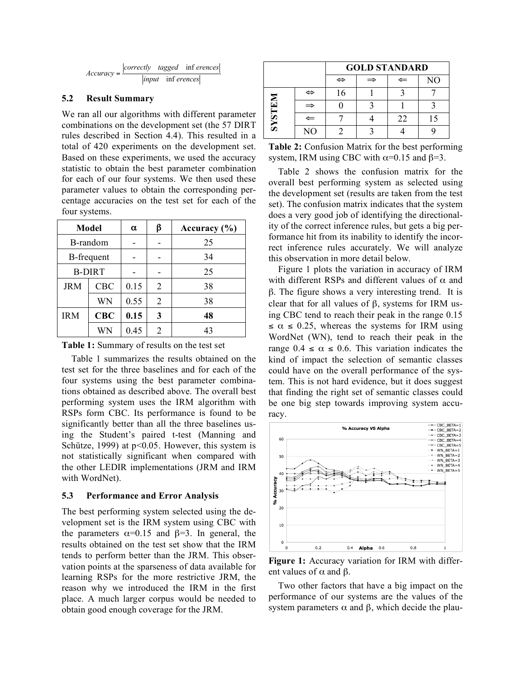

### **5.2 Result Summary**

We ran all our algorithms with different parameter combinations on the development set (the 57 DIRT rules described in Section 4.4). This resulted in a total of 420 experiments on the development set. Based on these experiments, we used the accuracy statistic to obtain the best parameter combination for each of our four systems. We then used these parameter values to obtain the corresponding percentage accuracies on the test set for each of the four systems.

| Model             |            | $\alpha$ | β | Accuracy $(\% )$ |
|-------------------|------------|----------|---|------------------|
| B-random          |            |          |   | 25               |
| <b>B-frequent</b> |            |          |   | 34               |
| <b>B-DIRT</b>     |            |          |   | 25               |
| <b>JRM</b>        | <b>CBC</b> | 0.15     | 2 | 38               |
|                   | WN         | 0.55     | 2 | 38               |
| <b>IRM</b>        | CBC        | 0.15     | 3 | 48               |
|                   | WN         | 0.45     | 2 | 43               |

**Table 1:** Summary of results on the test set

Table 1 summarizes the results obtained on the test set for the three baselines and for each of the four systems using the best parameter combinations obtained as described above. The overall best performing system uses the IRM algorithm with RSPs form CBC. Its performance is found to be significantly better than all the three baselines using the Student's paired t-test (Manning and Schütze, 1999) at p<0.05. However, this system is not statistically significant when compared with the other LEDIR implementations (JRM and IRM with WordNet).

### **5.3 Performance and Error Analysis**

The best performing system selected using the development set is the IRM system using CBC with the parameters  $\alpha=0.15$  and  $\beta=3$ . In general, the results obtained on the test set show that the IRM tends to perform better than the JRM. This observation points at the sparseness of data available for learning RSPs for the more restrictive JRM, the reason why we introduced the IRM in the first place. A much larger corpus would be needed to obtain good enough coverage for the JRM.

|               |              | <b>GOLD STANDARD</b> |   |    |    |  |
|---------------|--------------|----------------------|---|----|----|--|
|               |              | ⇔                    | ⇒ | ⇐  | NO |  |
| <b>NRIEXS</b> | ⇔            | 16                   |   |    |    |  |
|               | ⇒            |                      |   |    |    |  |
|               | $\Leftarrow$ |                      |   | 22 |    |  |
|               | NO           |                      |   |    |    |  |

**Table 2:** Confusion Matrix for the best performing system, IRM using CBC with  $\alpha$ =0.15 and  $\beta$ =3.

Table 2 shows the confusion matrix for the overall best performing system as selected using the development set (results are taken from the test set). The confusion matrix indicates that the system does a very good job of identifying the directionality of the correct inference rules, but gets a big performance hit from its inability to identify the incorrect inference rules accurately. We will analyze this observation in more detail below.

Figure 1 plots the variation in accuracy of IRM with different RSPs and different values of  $\alpha$  and β. The figure shows a very interesting trend. It is clear that for all values of  $β$ , systems for IRM using CBC tend to reach their peak in the range 0.15  $\leq \alpha \leq 0.25$ , whereas the systems for IRM using WordNet (WN), tend to reach their peak in the range  $0.4 \le \alpha \le 0.6$ . This variation indicates the kind of impact the selection of semantic classes could have on the overall performance of the system. This is not hard evidence, but it does suggest that finding the right set of semantic classes could be one big step towards improving system accuracy.



**Figure 1:** Accuracy variation for IRM with different values of  $\alpha$  and  $\beta$ .

Two other factors that have a big impact on the performance of our systems are the values of the system parameters  $\alpha$  and  $\beta$ , which decide the plau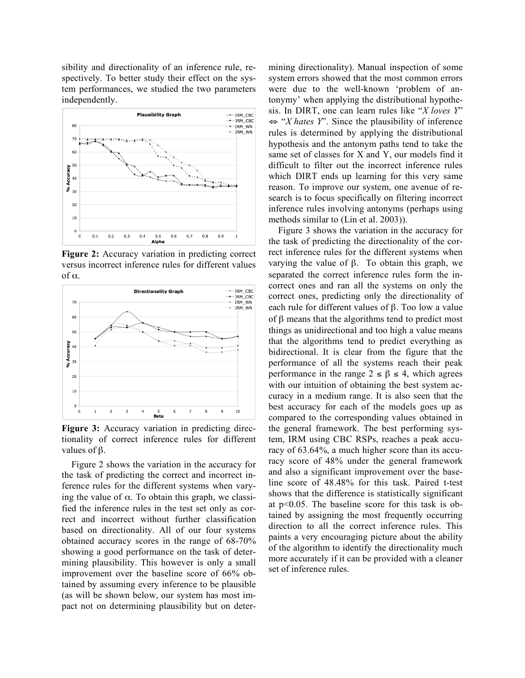sibility and directionality of an inference rule, respectively. To better study their effect on the system performances, we studied the two parameters independently.



**Figure 2:** Accuracy variation in predicting correct versus incorrect inference rules for different values of α.



**Figure 3:** Accuracy variation in predicting directionality of correct inference rules for different values of β.

Figure 2 shows the variation in the accuracy for the task of predicting the correct and incorrect inference rules for the different systems when varying the value of  $\alpha$ . To obtain this graph, we classified the inference rules in the test set only as correct and incorrect without further classification based on directionality. All of our four systems obtained accuracy scores in the range of 68-70% showing a good performance on the task of determining plausibility. This however is only a small improvement over the baseline score of 66% obtained by assuming every inference to be plausible (as will be shown below, our system has most impact not on determining plausibility but on determining directionality). Manual inspection of some system errors showed that the most common errors were due to the well-known 'problem of antonymy' when applying the distributional hypothesis. In DIRT, one can learn rules like "*X loves Y*" ⇔ "*X hates Y*". Since the plausibility of inference rules is determined by applying the distributional hypothesis and the antonym paths tend to take the same set of classes for X and Y, our models find it difficult to filter out the incorrect inference rules which DIRT ends up learning for this very same reason. To improve our system, one avenue of research is to focus specifically on filtering incorrect inference rules involving antonyms (perhaps using methods similar to (Lin et al. 2003)).

Figure 3 shows the variation in the accuracy for the task of predicting the directionality of the correct inference rules for the different systems when varying the value of β. To obtain this graph, we separated the correct inference rules form the incorrect ones and ran all the systems on only the correct ones, predicting only the directionality of each rule for different values of β. Too low a value of β means that the algorithms tend to predict most things as unidirectional and too high a value means that the algorithms tend to predict everything as bidirectional. It is clear from the figure that the performance of all the systems reach their peak performance in the range  $2 \le \beta \le 4$ , which agrees with our intuition of obtaining the best system accuracy in a medium range. It is also seen that the best accuracy for each of the models goes up as compared to the corresponding values obtained in the general framework. The best performing system, IRM using CBC RSPs, reaches a peak accuracy of 63.64%, a much higher score than its accuracy score of 48% under the general framework and also a significant improvement over the baseline score of 48.48% for this task. Paired t-test shows that the difference is statistically significant at p<0.05. The baseline score for this task is obtained by assigning the most frequently occurring direction to all the correct inference rules. This paints a very encouraging picture about the ability of the algorithm to identify the directionality much more accurately if it can be provided with a cleaner set of inference rules.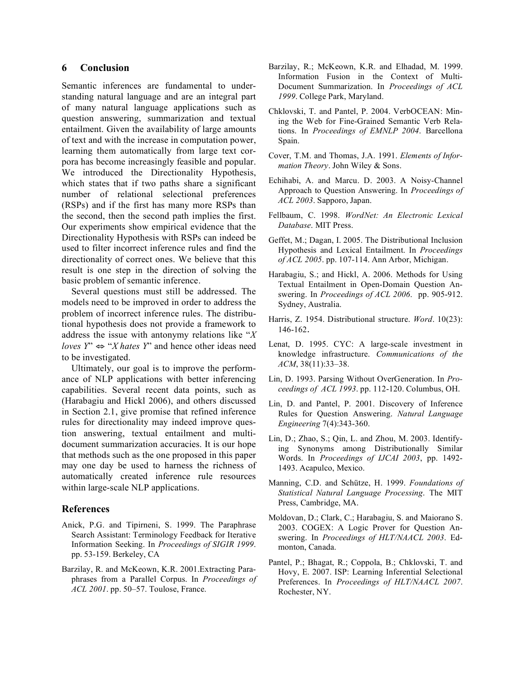### **6 Conclusion**

Semantic inferences are fundamental to understanding natural language and are an integral part of many natural language applications such as question answering, summarization and textual entailment. Given the availability of large amounts of text and with the increase in computation power, learning them automatically from large text corpora has become increasingly feasible and popular. We introduced the Directionality Hypothesis, which states that if two paths share a significant number of relational selectional preferences (RSPs) and if the first has many more RSPs than the second, then the second path implies the first. Our experiments show empirical evidence that the Directionality Hypothesis with RSPs can indeed be used to filter incorrect inference rules and find the directionality of correct ones. We believe that this result is one step in the direction of solving the basic problem of semantic inference.

Several questions must still be addressed. The models need to be improved in order to address the problem of incorrect inference rules. The distributional hypothesis does not provide a framework to address the issue with antonymy relations like "*X loves*  $Y^* \Leftrightarrow "X \text{ } \text{ } hates \text{ } Y$ " and hence other ideas need to be investigated.

Ultimately, our goal is to improve the performance of NLP applications with better inferencing capabilities. Several recent data points, such as (Harabagiu and Hickl 2006), and others discussed in Section 2.1, give promise that refined inference rules for directionality may indeed improve question answering, textual entailment and multidocument summarization accuracies. It is our hope that methods such as the one proposed in this paper may one day be used to harness the richness of automatically created inference rule resources within large-scale NLP applications.

### **References**

- Anick, P.G. and Tipirneni, S. 1999. The Paraphrase Search Assistant: Terminology Feedback for Iterative Information Seeking. In *Proceedings of SIGIR 1999*. pp. 53-159. Berkeley, CA
- Barzilay, R. and McKeown, K.R. 2001.Extracting Paraphrases from a Parallel Corpus. In *Proceedings of ACL 2001*. pp. 50–57. Toulose, France.
- Barzilay, R.; McKeown, K.R. and Elhadad, M. 1999. Information Fusion in the Context of Multi-Document Summarization. In *Proceedings of ACL 1999*. College Park, Maryland.
- Chklovski, T. and Pantel, P. 2004. VerbOCEAN: Mining the Web for Fine-Grained Semantic Verb Relations. In *Proceedings of EMNLP 2004*. Barcellona Spain.
- Cover, T.M. and Thomas, J.A. 1991. *Elements of Information Theory*. John Wiley & Sons.
- Echihabi, A. and Marcu. D. 2003. A Noisy-Channel Approach to Question Answering. In *Proceedings of ACL 2003*. Sapporo, Japan.
- Fellbaum, C. 1998. *WordNet: An Electronic Lexical Database*. MIT Press.
- Geffet, M.; Dagan, I. 2005. The Distributional Inclusion Hypothesis and Lexical Entailment. In *Proceedings of ACL 2005*. pp. 107-114. Ann Arbor, Michigan.
- Harabagiu, S.; and Hickl, A. 2006. Methods for Using Textual Entailment in Open-Domain Question Answering. In *Proceedings of ACL 2006*. pp. 905-912. Sydney, Australia.
- Harris, Z. 1954. Distributional structure. *Word*. 10(23): 146-162.
- Lenat, D. 1995. CYC: A large-scale investment in knowledge infrastructure. *Communications of the ACM*, 38(11):33–38.
- Lin, D. 1993. Parsing Without OverGeneration. In *Proceedings of ACL 1993*. pp. 112-120. Columbus, OH.
- Lin, D. and Pantel, P. 2001. Discovery of Inference Rules for Question Answering. *Natural Language Engineering* 7(4):343-360.
- Lin, D.; Zhao, S.; Qin, L. and Zhou, M. 2003. Identifying Synonyms among Distributionally Similar Words. In *Proceedings of IJCAI 2003*, pp. 1492- 1493. Acapulco, Mexico.
- Manning, C.D. and Schütze, H. 1999. *Foundations of Statistical Natural Language Processing*. The MIT Press, Cambridge, MA.
- Moldovan, D.; Clark, C.; Harabagiu, S. and Maiorano S. 2003. COGEX: A Logic Prover for Question Answering. In *Proceedings of HLT/NAACL 2003*. Edmonton, Canada.
- Pantel, P.; Bhagat, R.; Coppola, B.; Chklovski, T. and Hovy, E. 2007. ISP: Learning Inferential Selectional Preferences. In *Proceedings of HLT/NAACL 2007*. Rochester, NY.